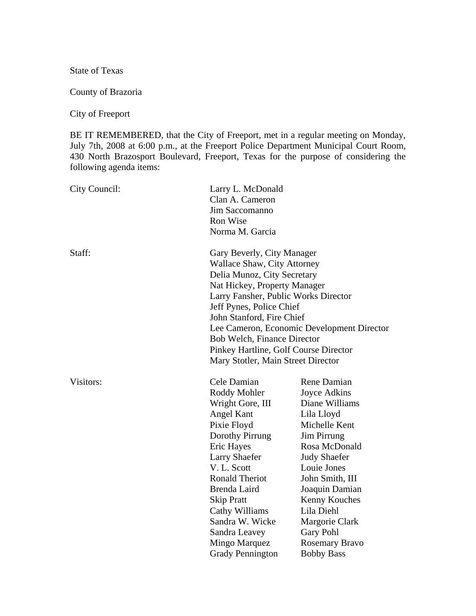State of Texas

County of Brazoria

City of Freeport

BE IT REMEMBERED, that the City of Freeport, met in a regular meeting on Monday, July 7th, 2008 at 6:00 p.m., at the Freeport Police Department Municipal Court Room, 430 North Brazosport Boulevard, Freeport, Texas for the purpose of considering the following agenda items:

| City Council: | Larry L. McDonald                          |                     |
|---------------|--------------------------------------------|---------------------|
|               | Clan A. Cameron                            |                     |
|               | Jim Saccomanno                             |                     |
|               | Ron Wise                                   |                     |
|               | Norma M. Garcia                            |                     |
| Staff:        | Gary Beverly, City Manager                 |                     |
|               | <b>Wallace Shaw, City Attorney</b>         |                     |
|               | Delia Munoz, City Secretary                |                     |
|               | Nat Hickey, Property Manager               |                     |
|               | Larry Fansher, Public Works Director       |                     |
|               | Jeff Pynes, Police Chief                   |                     |
|               | John Stanford, Fire Chief                  |                     |
|               | Lee Cameron, Economic Development Director |                     |
|               | <b>Bob Welch, Finance Director</b>         |                     |
|               | Pinkey Hartline, Golf Course Director      |                     |
|               | Mary Stotler, Main Street Director         |                     |
| Visitors:     | Cele Damian                                | Rene Damian         |
|               | Roddy Mohler                               | Joyce Adkins        |
|               | Wright Gore, III                           | Diane Williams      |
|               | Angel Kant                                 | Lila Lloyd          |
|               | Pixie Floyd                                | Michelle Kent       |
|               | Dorothy Pirrung                            | <b>Jim Pirrung</b>  |
|               | <b>Eric Hayes</b>                          | Rosa McDonald       |
|               | <b>Larry Shaefer</b>                       | <b>Judy Shaefer</b> |
|               | V. L. Scott                                | Louie Jones         |
|               | <b>Ronald Theriot</b>                      | John Smith, III     |
|               | Brenda Laird                               | Joaquin Damian      |
|               | <b>Skip Pratt</b>                          | Kenny Kouches       |
|               | Cathy Williams                             | Lila Diehl          |
|               | Sandra W. Wicke                            | Margorie Clark      |
|               | Sandra Leavey                              | Gary Pohl           |
|               | Mingo Marquez                              | Rosemary Bravo      |
|               | <b>Grady Pennington</b>                    | <b>Bobby Bass</b>   |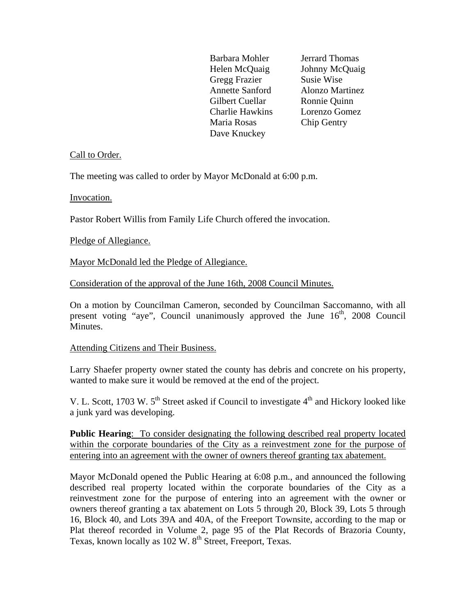Barbara Mohler Jerrard Thomas Helen McQuaig Johnny McQuaig Gregg Frazier Susie Wise Annette Sanford Alonzo Martinez Gilbert Cuellar Ronnie Quinn Charlie Hawkins Lorenzo Gomez Maria Rosas Chip Gentry Dave Knuckey

# Call to Order.

The meeting was called to order by Mayor McDonald at 6:00 p.m.

Invocation.

Pastor Robert Willis from Family Life Church offered the invocation.

Pledge of Allegiance.

Mayor McDonald led the Pledge of Allegiance.

Consideration of the approval of the June 16th, 2008 Council Minutes.

On a motion by Councilman Cameron, seconded by Councilman Saccomanno, with all present voting "aye", Council unanimously approved the June  $16<sup>th</sup>$ , 2008 Council Minutes.

#### Attending Citizens and Their Business.

Larry Shaefer property owner stated the county has debris and concrete on his property, wanted to make sure it would be removed at the end of the project.

V. L. Scott, 1703 W.  $5<sup>th</sup>$  Street asked if Council to investigate  $4<sup>th</sup>$  and Hickory looked like a junk yard was developing.

**Public Hearing**: To consider designating the following described real property located within the corporate boundaries of the City as a reinvestment zone for the purpose of entering into an agreement with the owner of owners thereof granting tax abatement.

Mayor McDonald opened the Public Hearing at 6:08 p.m., and announced the following described real property located within the corporate boundaries of the City as a reinvestment zone for the purpose of entering into an agreement with the owner or owners thereof granting a tax abatement on Lots 5 through 20, Block 39, Lots 5 through 16, Block 40, and Lots 39A and 40A, of the Freeport Townsite, according to the map or Plat thereof recorded in Volume 2, page 95 of the Plat Records of Brazoria County, Texas, known locally as 102 W. 8<sup>th</sup> Street, Freeport, Texas.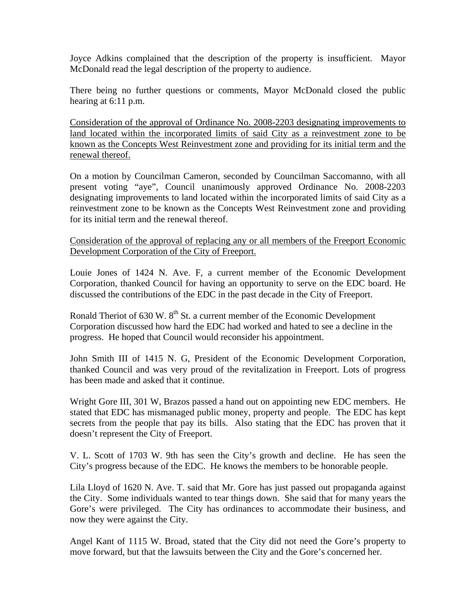Joyce Adkins complained that the description of the property is insufficient. Mayor McDonald read the legal description of the property to audience.

There being no further questions or comments, Mayor McDonald closed the public hearing at 6:11 p.m.

Consideration of the approval of Ordinance No. 2008-2203 designating improvements to land located within the incorporated limits of said City as a reinvestment zone to be known as the Concepts West Reinvestment zone and providing for its initial term and the renewal thereof.

On a motion by Councilman Cameron, seconded by Councilman Saccomanno, with all present voting "aye", Council unanimously approved Ordinance No. 2008-2203 designating improvements to land located within the incorporated limits of said City as a reinvestment zone to be known as the Concepts West Reinvestment zone and providing for its initial term and the renewal thereof.

Consideration of the approval of replacing any or all members of the Freeport Economic Development Corporation of the City of Freeport.

Louie Jones of 1424 N. Ave. F, a current member of the Economic Development Corporation, thanked Council for having an opportunity to serve on the EDC board. He discussed the contributions of the EDC in the past decade in the City of Freeport.

Ronald Theriot of 630 W.  $8<sup>th</sup>$  St. a current member of the Economic Development Corporation discussed how hard the EDC had worked and hated to see a decline in the progress. He hoped that Council would reconsider his appointment.

John Smith III of 1415 N. G, President of the Economic Development Corporation, thanked Council and was very proud of the revitalization in Freeport. Lots of progress has been made and asked that it continue.

Wright Gore III, 301 W, Brazos passed a hand out on appointing new EDC members. He stated that EDC has mismanaged public money, property and people. The EDC has kept secrets from the people that pay its bills. Also stating that the EDC has proven that it doesn't represent the City of Freeport.

V. L. Scott of 1703 W. 9th has seen the City's growth and decline. He has seen the City's progress because of the EDC. He knows the members to be honorable people.

Lila Lloyd of 1620 N. Ave. T. said that Mr. Gore has just passed out propaganda against the City. Some individuals wanted to tear things down. She said that for many years the Gore's were privileged. The City has ordinances to accommodate their business, and now they were against the City.

Angel Kant of 1115 W. Broad, stated that the City did not need the Gore's property to move forward, but that the lawsuits between the City and the Gore's concerned her.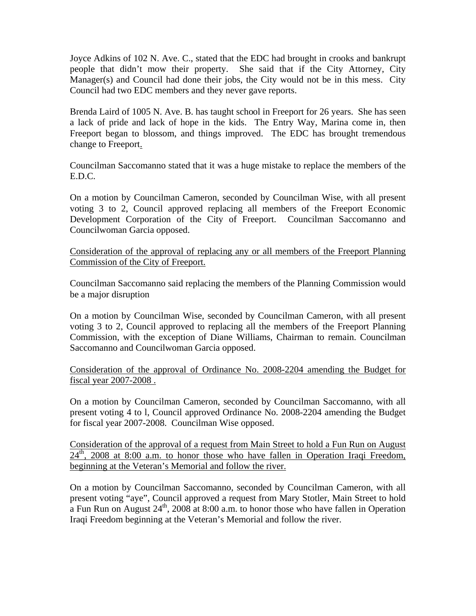Joyce Adkins of 102 N. Ave. C., stated that the EDC had brought in crooks and bankrupt people that didn't mow their property. She said that if the City Attorney, City Manager(s) and Council had done their jobs, the City would not be in this mess. City Council had two EDC members and they never gave reports.

Brenda Laird of 1005 N. Ave. B. has taught school in Freeport for 26 years. She has seen a lack of pride and lack of hope in the kids. The Entry Way, Marina come in, then Freeport began to blossom, and things improved. The EDC has brought tremendous change to Freeport.

Councilman Saccomanno stated that it was a huge mistake to replace the members of the E.D.C.

On a motion by Councilman Cameron, seconded by Councilman Wise, with all present voting 3 to 2, Council approved replacing all members of the Freeport Economic Development Corporation of the City of Freeport. Councilman Saccomanno and Councilwoman Garcia opposed.

Consideration of the approval of replacing any or all members of the Freeport Planning Commission of the City of Freeport.

Councilman Saccomanno said replacing the members of the Planning Commission would be a major disruption

On a motion by Councilman Wise, seconded by Councilman Cameron, with all present voting 3 to 2, Council approved to replacing all the members of the Freeport Planning Commission, with the exception of Diane Williams, Chairman to remain. Councilman Saccomanno and Councilwoman Garcia opposed.

Consideration of the approval of Ordinance No. 2008-2204 amending the Budget for fiscal year 2007-2008 .

On a motion by Councilman Cameron, seconded by Councilman Saccomanno, with all present voting 4 to l, Council approved Ordinance No. 2008-2204 amending the Budget for fiscal year 2007-2008. Councilman Wise opposed.

Consideration of the approval of a request from Main Street to hold a Fun Run on August  $24<sup>th</sup>$ , 2008 at 8:00 a.m. to honor those who have fallen in Operation Iraqi Freedom, beginning at the Veteran's Memorial and follow the river.

On a motion by Councilman Saccomanno, seconded by Councilman Cameron, with all present voting "aye", Council approved a request from Mary Stotler, Main Street to hold a Fun Run on August  $24^{th}$ , 2008 at 8:00 a.m. to honor those who have fallen in Operation Iraqi Freedom beginning at the Veteran's Memorial and follow the river.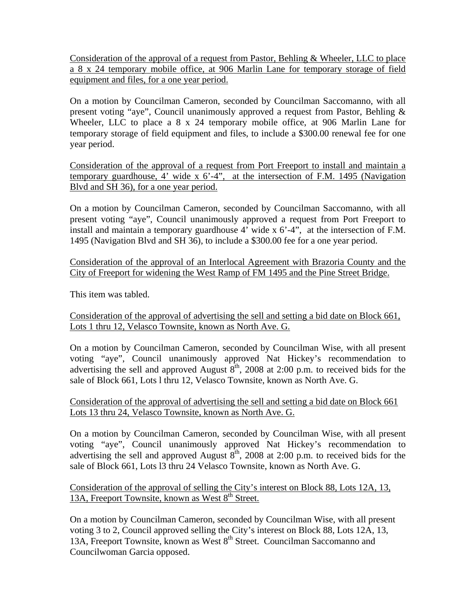Consideration of the approval of a request from Pastor, Behling & Wheeler, LLC to place a 8 x 24 temporary mobile office, at 906 Marlin Lane for temporary storage of field equipment and files, for a one year period.

On a motion by Councilman Cameron, seconded by Councilman Saccomanno, with all present voting "aye", Council unanimously approved a request from Pastor, Behling & Wheeler, LLC to place a 8 x 24 temporary mobile office, at 906 Marlin Lane for temporary storage of field equipment and files, to include a \$300.00 renewal fee for one year period.

Consideration of the approval of a request from Port Freeport to install and maintain a temporary guardhouse,  $4'$  wide x  $6'-4''$ , at the intersection of F.M. 1495 (Navigation Blvd and SH 36), for a one year period.

On a motion by Councilman Cameron, seconded by Councilman Saccomanno, with all present voting "aye", Council unanimously approved a request from Port Freeport to install and maintain a temporary guardhouse 4' wide x 6'-4", at the intersection of F.M. 1495 (Navigation Blvd and SH 36), to include a \$300.00 fee for a one year period.

Consideration of the approval of an Interlocal Agreement with Brazoria County and the City of Freeport for widening the West Ramp of FM 1495 and the Pine Street Bridge.

This item was tabled.

Consideration of the approval of advertising the sell and setting a bid date on Block 661, Lots 1 thru 12, Velasco Townsite, known as North Ave. G.

On a motion by Councilman Cameron, seconded by Councilman Wise, with all present voting "aye", Council unanimously approved Nat Hickey's recommendation to advertising the sell and approved August  $8<sup>th</sup>$ , 2008 at 2:00 p.m. to received bids for the sale of Block 661, Lots l thru 12, Velasco Townsite, known as North Ave. G.

Consideration of the approval of advertising the sell and setting a bid date on Block 661 Lots 13 thru 24, Velasco Townsite, known as North Ave. G.

On a motion by Councilman Cameron, seconded by Councilman Wise, with all present voting "aye", Council unanimously approved Nat Hickey's recommendation to advertising the sell and approved August  $8<sup>th</sup>$ , 2008 at 2:00 p.m. to received bids for the sale of Block 661, Lots l3 thru 24 Velasco Townsite, known as North Ave. G.

Consideration of the approval of selling the City's interest on Block 88, Lots 12A, 13, 13A, Freeport Townsite, known as West 8<sup>th</sup> Street.

On a motion by Councilman Cameron, seconded by Councilman Wise, with all present voting 3 to 2, Council approved selling the City's interest on Block 88, Lots 12A, 13, 13A, Freeport Townsite, known as West 8<sup>th</sup> Street. Councilman Saccomanno and Councilwoman Garcia opposed.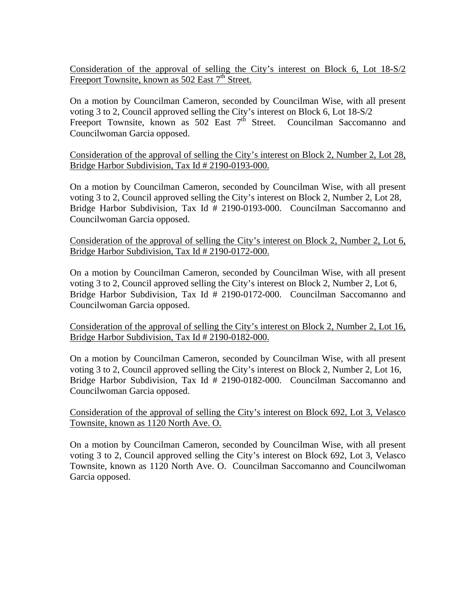Consideration of the approval of selling the City's interest on Block 6, Lot 18-S/2 Freeport Townsite, known as 502 East 7<sup>th</sup> Street.

On a motion by Councilman Cameron, seconded by Councilman Wise, with all present voting 3 to 2, Council approved selling the City's interest on Block 6, Lot 18-S/2 Freeport Townsite, known as  $502$  East  $7<sup>th</sup>$  Street. Councilman Saccomanno and Councilwoman Garcia opposed.

Consideration of the approval of selling the City's interest on Block 2, Number 2, Lot 28, Bridge Harbor Subdivision, Tax Id # 2190-0193-000.

On a motion by Councilman Cameron, seconded by Councilman Wise, with all present voting 3 to 2, Council approved selling the City's interest on Block 2, Number 2, Lot 28, Bridge Harbor Subdivision, Tax Id # 2190-0193-000. Councilman Saccomanno and Councilwoman Garcia opposed.

Consideration of the approval of selling the City's interest on Block 2, Number 2, Lot 6, Bridge Harbor Subdivision, Tax Id # 2190-0172-000.

On a motion by Councilman Cameron, seconded by Councilman Wise, with all present voting 3 to 2, Council approved selling the City's interest on Block 2, Number 2, Lot 6, Bridge Harbor Subdivision, Tax Id # 2190-0172-000. Councilman Saccomanno and Councilwoman Garcia opposed.

Consideration of the approval of selling the City's interest on Block 2, Number 2, Lot 16, Bridge Harbor Subdivision, Tax Id # 2190-0182-000.

On a motion by Councilman Cameron, seconded by Councilman Wise, with all present voting 3 to 2, Council approved selling the City's interest on Block 2, Number 2, Lot 16, Bridge Harbor Subdivision, Tax Id # 2190-0182-000. Councilman Saccomanno and Councilwoman Garcia opposed.

Consideration of the approval of selling the City's interest on Block 692, Lot 3, Velasco Townsite, known as 1120 North Ave. O.

On a motion by Councilman Cameron, seconded by Councilman Wise, with all present voting 3 to 2, Council approved selling the City's interest on Block 692, Lot 3, Velasco Townsite, known as 1120 North Ave. O. Councilman Saccomanno and Councilwoman Garcia opposed.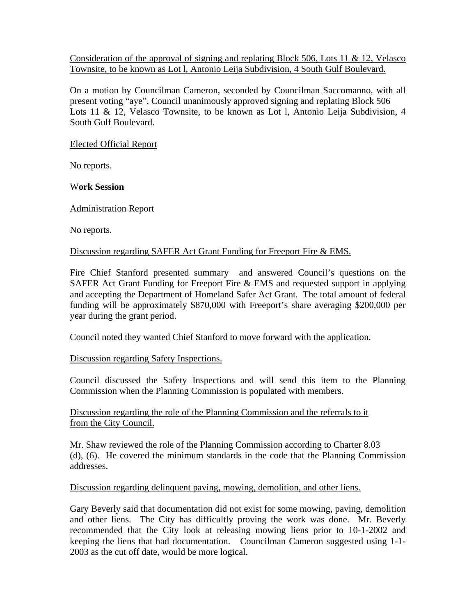Consideration of the approval of signing and replating Block 506, Lots 11 & 12, Velasco Townsite, to be known as Lot l, Antonio Leija Subdivision, 4 South Gulf Boulevard.

On a motion by Councilman Cameron, seconded by Councilman Saccomanno, with all present voting "aye", Council unanimously approved signing and replating Block 506 Lots 11 & 12, Velasco Townsite, to be known as Lot I, Antonio Leija Subdivision, 4 South Gulf Boulevard.

### Elected Official Report

No reports.

W**ork Session** 

## Administration Report

No reports.

#### Discussion regarding SAFER Act Grant Funding for Freeport Fire & EMS.

Fire Chief Stanford presented summary and answered Council's questions on the SAFER Act Grant Funding for Freeport Fire & EMS and requested support in applying and accepting the Department of Homeland Safer Act Grant. The total amount of federal funding will be approximately \$870,000 with Freeport's share averaging \$200,000 per year during the grant period.

Council noted they wanted Chief Stanford to move forward with the application.

#### Discussion regarding Safety Inspections.

Council discussed the Safety Inspections and will send this item to the Planning Commission when the Planning Commission is populated with members.

Discussion regarding the role of the Planning Commission and the referrals to it from the City Council.

Mr. Shaw reviewed the role of the Planning Commission according to Charter 8.03 (d), (6). He covered the minimum standards in the code that the Planning Commission addresses.

## Discussion regarding delinquent paving, mowing, demolition, and other liens.

Gary Beverly said that documentation did not exist for some mowing, paving, demolition and other liens. The City has difficultly proving the work was done. Mr. Beverly recommended that the City look at releasing mowing liens prior to 10-1-2002 and keeping the liens that had documentation. Councilman Cameron suggested using 1-1- 2003 as the cut off date, would be more logical.